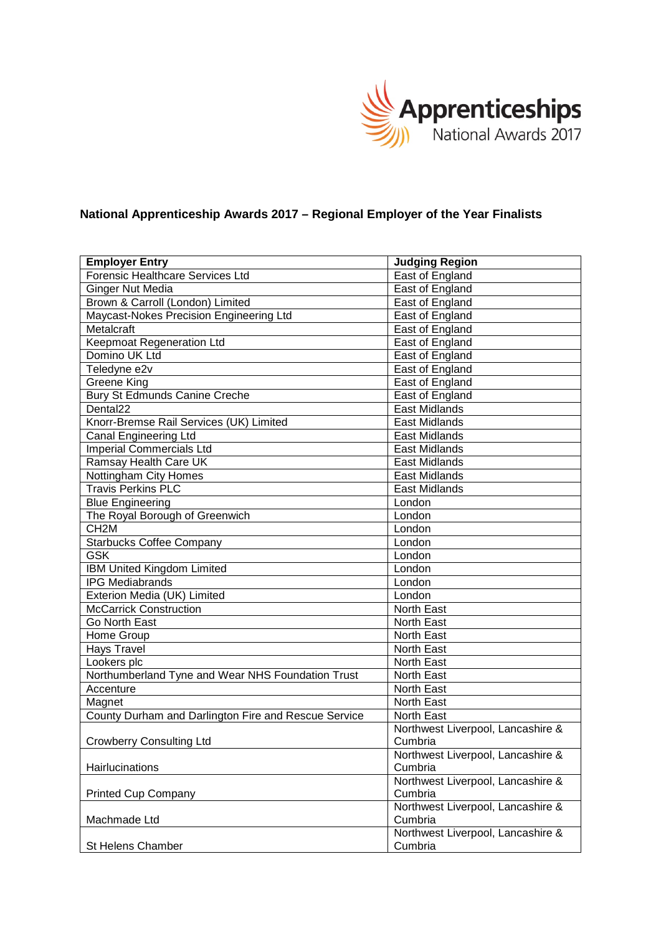

## **National Apprenticeship Awards 2017 – Regional Employer of the Year Finalists**

| <b>Employer Entry</b>                                | <b>Judging Region</b>             |
|------------------------------------------------------|-----------------------------------|
| Forensic Healthcare Services Ltd                     | East of England                   |
| <b>Ginger Nut Media</b>                              | East of England                   |
| Brown & Carroll (London) Limited                     | East of England                   |
| Maycast-Nokes Precision Engineering Ltd              | East of England                   |
| Metalcraft                                           | East of England                   |
| Keepmoat Regeneration Ltd                            | East of England                   |
| Domino UK Ltd                                        | East of England                   |
| Teledyne e2v                                         | East of England                   |
| <b>Greene King</b>                                   | East of England                   |
| <b>Bury St Edmunds Canine Creche</b>                 | East of England                   |
| Dental <sub>22</sub>                                 | <b>East Midlands</b>              |
| Knorr-Bremse Rail Services (UK) Limited              | <b>East Midlands</b>              |
| <b>Canal Engineering Ltd</b>                         | <b>East Midlands</b>              |
| <b>Imperial Commercials Ltd</b>                      | <b>East Midlands</b>              |
| Ramsay Health Care UK                                | <b>East Midlands</b>              |
| Nottingham City Homes                                | <b>East Midlands</b>              |
| <b>Travis Perkins PLC</b>                            | <b>East Midlands</b>              |
| <b>Blue Engineering</b>                              | London                            |
| The Royal Borough of Greenwich                       | London                            |
| CH <sub>2</sub> M                                    | London                            |
| <b>Starbucks Coffee Company</b>                      | London                            |
| <b>GSK</b>                                           | London                            |
| IBM United Kingdom Limited                           | London                            |
| <b>IPG Mediabrands</b>                               | London                            |
| Exterion Media (UK) Limited                          | London                            |
| <b>McCarrick Construction</b>                        | North East                        |
| Go North East                                        | North East                        |
| Home Group                                           | North East                        |
| Hays Travel                                          | North East                        |
| Lookers plc                                          | North East                        |
| Northumberland Tyne and Wear NHS Foundation Trust    | North East                        |
| Accenture                                            | North East                        |
| Magnet                                               | North East                        |
| County Durham and Darlington Fire and Rescue Service | North East                        |
|                                                      | Northwest Liverpool, Lancashire & |
| <b>Crowberry Consulting Ltd</b>                      | Cumbria                           |
|                                                      | Northwest Liverpool, Lancashire & |
| Hairlucinations                                      | Cumbria                           |
|                                                      | Northwest Liverpool, Lancashire & |
| <b>Printed Cup Company</b>                           | Cumbria                           |
|                                                      | Northwest Liverpool, Lancashire & |
| Machmade Ltd                                         | Cumbria                           |
|                                                      | Northwest Liverpool, Lancashire & |
| St Helens Chamber                                    | Cumbria                           |